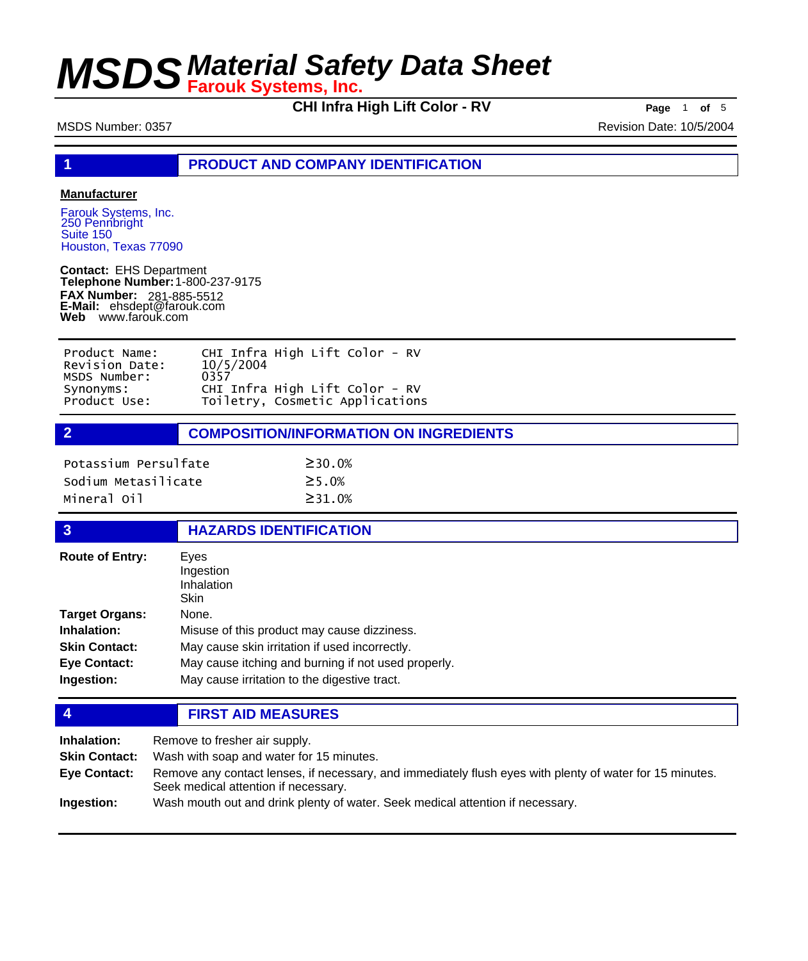**CHI Infra High Lift Color - RV Page** <sup>1</sup> **of** <sup>5</sup>

MSDS Number: 0357 Revision Date: 10/5/2004

**1 PRODUCT AND COMPANY IDENTIFICATION**

## **Manufacturer**

Farouk Systems, Inc. 250 Pennbright Suite 150 Houston, Texas 77090

**Contact:** EHS Department **Telephone Number:** 1-800-237-9175 **FAX Number: FAX Number:** 281-885-5512<br>**E-Mail:** ehsdept@farouk.com **Web** www.farouk.com

| Product Name:  | CHI Infra High Lift Color - RV  |
|----------------|---------------------------------|
| Revision Date: | 10/5/2004                       |
| MSDS Number:   | 0357                            |
| Synonyms:      | CHI Infra High Lift Color - RV  |
| Product Use:   | Toiletry, Cosmetic Applications |

**2 COMPOSITION/INFORMATION ON INGREDIENTS**

| Potassium Persulfate | $\geq$ 30.0%  |
|----------------------|---------------|
| Sodium Metasilicate  | $\geq$ 5 . 0% |
| Mineral Oil          | $\geq$ 31.0%  |

### **3 HAZARDS IDENTIFICATION**

| Eyes<br>Ingestion<br>Inhalation<br>Skin             |
|-----------------------------------------------------|
| None.                                               |
| Misuse of this product may cause dizziness.         |
| May cause skin irritation if used incorrectly.      |
| May cause itching and burning if not used properly. |
| May cause irritation to the digestive tract.        |
|                                                     |

**4 FIRST AID MEASURES**

| Inhalation:          | Remove to fresher air supply.                                                                                                                    |
|----------------------|--------------------------------------------------------------------------------------------------------------------------------------------------|
| <b>Skin Contact:</b> | Wash with soap and water for 15 minutes.                                                                                                         |
| Eye Contact:         | Remove any contact lenses, if necessary, and immediately flush eyes with plenty of water for 15 minutes.<br>Seek medical attention if necessary. |
| Ingestion:           | Wash mouth out and drink plenty of water. Seek medical attention if necessary.                                                                   |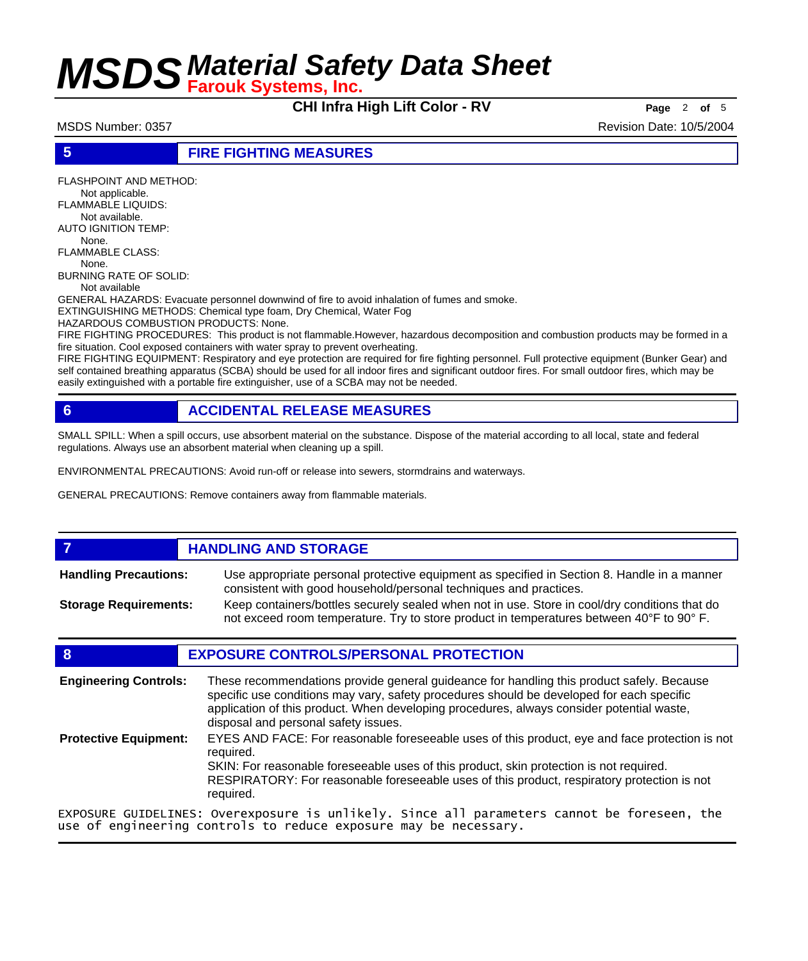**CHI Infra High Lift Color - RV Page** <sup>2</sup> **of** <sup>5</sup>

MSDS Number: 0357 Revision Date: 10/5/2004

## **5 FIRE FIGHTING MEASURES**

FLASHPOINT AND METHOD: Not applicable. FLAMMABLE LIQUIDS: Not available. AUTO IGNITION TEMP: None. FLAMMABLE CLASS: None. BURNING RATE OF SOLID: Not available GENERAL HAZARDS: Evacuate personnel downwind of fire to avoid inhalation of fumes and smoke. EXTINGUISHING METHODS: Chemical type foam, Dry Chemical, Water Fog HAZARDOUS COMBUSTION PRODUCTS: None. FIRE FIGHTING PROCEDURES: This product is not flammable.However, hazardous decomposition and combustion products may be formed in a fire situation. Cool exposed containers with water spray to prevent overheating.

FIRE FIGHTING EQUIPMENT: Respiratory and eye protection are required for fire fighting personnel. Full protective equipment (Bunker Gear) and self contained breathing apparatus (SCBA) should be used for all indoor fires and significant outdoor fires. For small outdoor fires, which may be easily extinguished with a portable fire extinguisher, use of a SCBA may not be needed.

## **6 ACCIDENTAL RELEASE MEASURES**

SMALL SPILL: When a spill occurs, use absorbent material on the substance. Dispose of the material according to all local, state and federal regulations. Always use an absorbent material when cleaning up a spill.

ENVIRONMENTAL PRECAUTIONS: Avoid run-off or release into sewers, stormdrains and waterways.

GENERAL PRECAUTIONS: Remove containers away from flammable materials.

### **7 HANDLING AND STORAGE** Use appropriate personal protective equipment as specified in Section 8. Handle in a manner consistent with good household/personal techniques and practices. **Handling Precautions:** Keep containers/bottles securely sealed when not in use. Store in cool/dry conditions that do not exceed room temperature. Try to store product in temperatures between 40°F to 90° F. **Storage Requirements:**

## **8 EXPOSURE CONTROLS/PERSONAL PROTECTION**

These recommendations provide general guideance for handling this product safely. Because specific use conditions may vary, safety procedures should be developed for each specific application of this product. When developing procedures, always consider potential waste, disposal and personal safety issues. **Engineering Controls:** EYES AND FACE: For reasonable foreseeable uses of this product, eye and face protection is not required. SKIN: For reasonable foreseeable uses of this product, skin protection is not required. RESPIRATORY: For reasonable foreseeable uses of this product, respiratory protection is not required. **Protective Equipment:** EXPOSURE GUIDELINES: Overexposure is unlikely. Since all parameters cannot be foreseen, the use of engineering controls to reduce exposure may be necessary.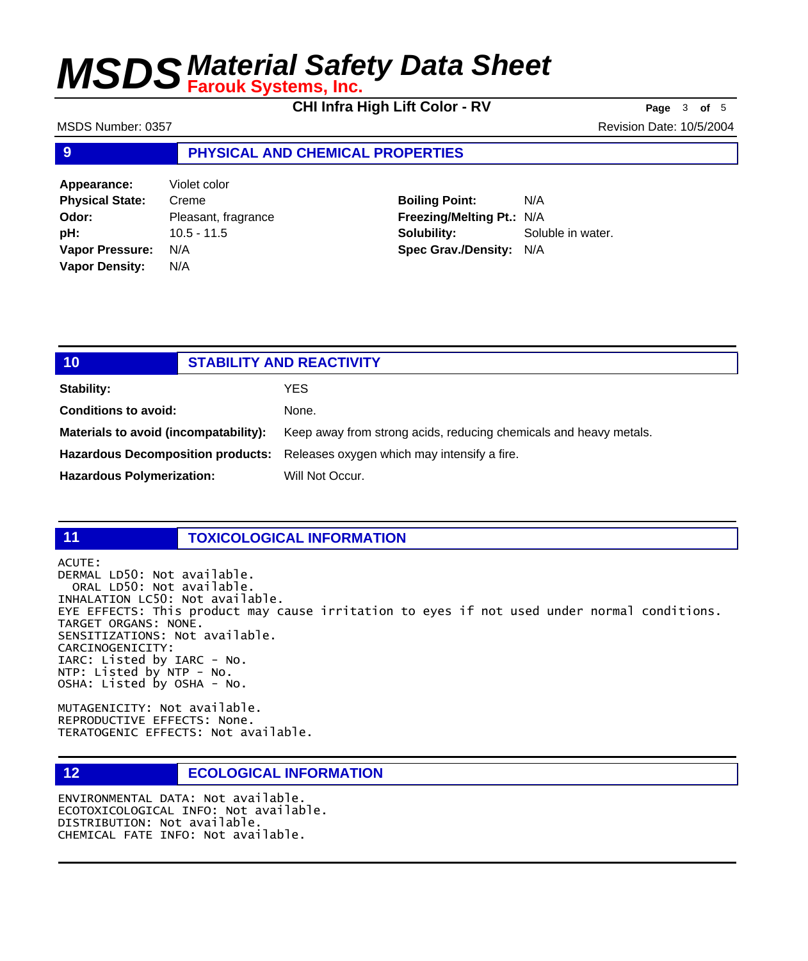**CHI Infra High Lift Color - RV Page** <sup>3</sup> **of** <sup>5</sup>

MSDS Number: 0357 Revision Date: 10/5/2004

## **9 PHYSICAL AND CHEMICAL PROPERTIES**

**Appearance:** Violet color **Physical State:** Creme **Odor:** Pleasant, fragrance **pH:** 10.5 - 11.5 **Vapor Pressure:** N/A **Vapor Density:** N/A

**Boiling Point:** N/A **Freezing/Melting Pt.:** N/A **Solubility:** Soluble in water. **Spec Grav./Density:** N/A

| 10                                    | <b>STABILITY AND REACTIVITY</b>                                               |
|---------------------------------------|-------------------------------------------------------------------------------|
| Stability:                            | YES.                                                                          |
| <b>Conditions to avoid:</b>           | None.                                                                         |
| Materials to avoid (incompatability): | Keep away from strong acids, reducing chemicals and heavy metals.             |
|                                       | Hazardous Decomposition products: Releases oxygen which may intensify a fire. |
| <b>Hazardous Polymerization:</b>      | Will Not Occur.                                                               |

## **11 TOXICOLOGICAL INFORMATION**

ACUTE: DERMAL LD50: Not available. ORAL LD50: Not available. INHALATION LC50: Not available. EYE EFFECTS: This product may cause irritation to eyes if not used under normal conditions. TARGET ORGANS: NONE. SENSITIZATIONS: Not available. CARCINOGENICITY: IARC: Listed by IARC - No. NTP: Listed by NTP - No. OSHA: Listed by OSHA - No.

MUTAGENICITY: Not available. REPRODUCTIVE EFFECTS: None. TERATOGENIC EFFECTS: Not available.

## **12 ECOLOGICAL INFORMATION**

ENVIRONMENTAL DATA: Not available. ECOTOXICOLOGICAL INFO: Not available. DISTRIBUTION: Not available. CHEMICAL FATE INFO: Not available.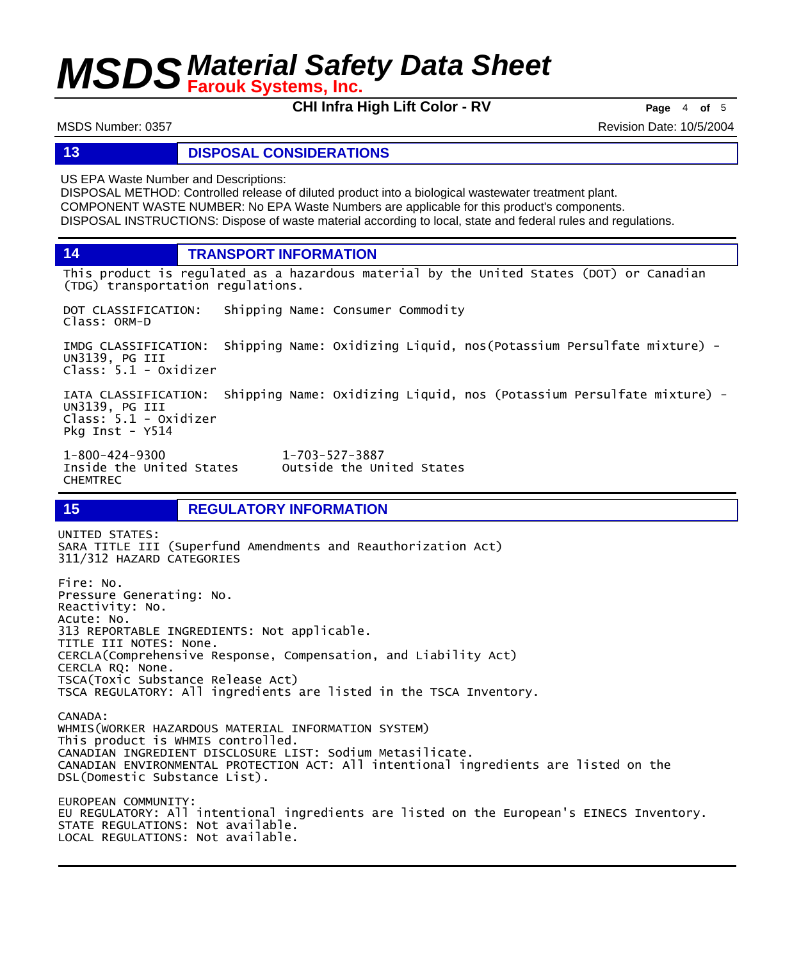**CHI Infra High Lift Color - RV Page** 4 of 5

MSDS Number: 0357 Revision Date: 10/5/2004

## **13 DISPOSAL CONSIDERATIONS**

US EPA Waste Number and Descriptions:

DISPOSAL METHOD: Controlled release of diluted product into a biological wastewater treatment plant. COMPONENT WASTE NUMBER: No EPA Waste Numbers are applicable for this product's components. DISPOSAL INSTRUCTIONS: Dispose of waste material according to local, state and federal rules and regulations.

**14 TRANSPORT INFORMATION**

This product is regulated as a hazardous material by the United States (DOT) or Canadian (TDG) transportation regulations.

DOT CLASSIFICATION: Shipping Name: Consumer Commodity Class: ORM-D

IMDG CLASSIFICATION: Shipping Name: Oxidizing Liquid, nos(Potassium Persulfate mixture) - UN3139, PG III Class: 5.1 - Oxidizer

IATA CLASSIFICATION: Shipping Name: Oxidizing Liquid, nos (Potassium Persulfate mixture) - UN3139, PG III Class: 5.1 - Oxidizer Pkg Inst - Y514

Outside the United States

1-800-424-9300 1-703-527-3887 CHEMTREC

LOCAL REGULATIONS: Not available.

## **15 REGULATORY INFORMATION**

UNITED STATES: SARA TITLE III (Superfund Amendments and Reauthorization Act) 311/312 HAZARD CATEGORIES Fire: No. Pressure Generating: No. Reactivity: No. Acute: No. 313 REPORTABLE INGREDIENTS: Not applicable. TITLE III NOTES: None. CERCLA(Comprehensive Response, Compensation, and Liability Act) CERCLA RQ: None. TSCA(Toxic Substance Release Act) TSCA REGULATORY: All ingredients are listed in the TSCA Inventory. CANADA: WHMIS(WORKER HAZARDOUS MATERIAL INFORMATION SYSTEM) This product is WHMIS controlled. CANADIAN INGREDIENT DISCLOSURE LIST: Sodium Metasilicate. CANADIAN ENVIRONMENTAL PROTECTION ACT: All intentional ingredients are listed on the DSL(Domestic Substance List). EUROPEAN COMMUNITY: EU REGULATORY: All intentional ingredients are listed on the European's EINECS Inventory. STATE REGULATIONS: Not available.